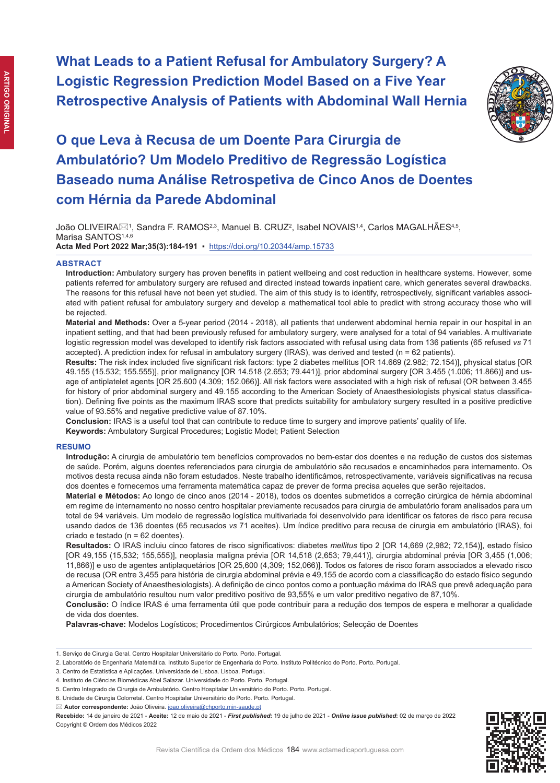**What Leads to a Patient Refusal for Ambulatory Surgery? A Logistic Regression Prediction Model Based on a Five Year Retrospective Analysis of Patients with Abdominal Wall Hernia**



# **O que Leva à Recusa de um Doente Para Cirurgia de Ambulatório? Um Modelo Preditivo de Regressão Logística Baseado numa Análise Retrospetiva de Cinco Anos de Doentes com Hérnia da Parede Abdominal**

João OLIVEIRA $\boxtimes^1$ , Sandra F. RAMOS $^{2,3}$ , Manuel B. CRUZ $^2$ , Isabel NOVAIS $^{1,4}$ , Carlos MAGALHÃES $^{4,5}$ , Marisa SANTOS<sup>1,4,6</sup> **Acta Med Port 2022 Mar;35(3):184-191** ▪https://doi.org/10.20344/amp.15733

## **ABSTRACT**

**Introduction:** Ambulatory surgery has proven benefits in patient wellbeing and cost reduction in healthcare systems. However, some patients referred for ambulatory surgery are refused and directed instead towards inpatient care, which generates several drawbacks. The reasons for this refusal have not been yet studied. The aim of this study is to identify, retrospectively, significant variables associated with patient refusal for ambulatory surgery and develop a mathematical tool able to predict with strong accuracy those who will be rejected.

**Material and Methods:** Over a 5-year period (2014 - 2018), all patients that underwent abdominal hernia repair in our hospital in an inpatient setting, and that had been previously refused for ambulatory surgery, were analysed for a total of 94 variables. A multivariate logistic regression model was developed to identify risk factors associated with refusal using data from 136 patients (65 refused *vs* 71 accepted). A prediction index for refusal in ambulatory surgery (IRAS), was derived and tested (n = 62 patients).

**Results:** The risk index included five significant risk factors: type 2 diabetes mellitus [OR 14.669 (2.982; 72.154)], physical status [OR 49.155 (15.532; 155.555)], prior malignancy [OR 14.518 (2.653; 79.441)], prior abdominal surgery [OR 3.455 (1.006; 11.866)] and usage of antiplatelet agents [OR 25.600 (4.309; 152.066)]. All risk factors were associated with a high risk of refusal (OR between 3.455 for history of prior abdominal surgery and 49.155 according to the American Society of Anaesthesiologists physical status classification). Defining five points as the maximum IRAS score that predicts suitability for ambulatory surgery resulted in a positive predictive value of 93.55% and negative predictive value of 87.10%.

**Conclusion:** IRAS is a useful tool that can contribute to reduce time to surgery and improve patients' quality of life.

**Keywords:** Ambulatory Surgical Procedures; Logistic Model; Patient Selection

#### **RESUMO**

**Introdução:** A cirurgia de ambulatório tem benefícios comprovados no bem-estar dos doentes e na redução de custos dos sistemas de saúde. Porém, alguns doentes referenciados para cirurgia de ambulatório são recusados e encaminhados para internamento. Os motivos desta recusa ainda não foram estudados. Neste trabalho identificámos, retrospectivamente, variáveis significativas na recusa dos doentes e fornecemos uma ferramenta matemática capaz de prever de forma precisa aqueles que serão rejeitados.

**Material e Métodos:** Ao longo de cinco anos (2014 - 2018), todos os doentes submetidos a correção cirúrgica de hérnia abdominal em regime de internamento no nosso centro hospitalar previamente recusados para cirurgia de ambulatório foram analisados para um total de 94 variáveis. Um modelo de regressão logística multivariada foi desenvolvido para identificar os fatores de risco para recusa usando dados de 136 doentes (65 recusados *vs* 71 aceites). Um índice preditivo para recusa de cirurgia em ambulatório (IRAS), foi criado e testado (n = 62 doentes).

**Resultados:** O IRAS incluiu cinco fatores de risco significativos: diabetes *mellitus* tipo 2 [OR 14,669 (2,982; 72,154)], estado físico [OR 49,155 (15,532; 155,555)], neoplasia maligna prévia [OR 14,518 (2,653; 79,441)], cirurgia abdominal prévia [OR 3,455 (1,006; 11,866)] e uso de agentes antiplaquetários [OR 25,600 (4,309; 152,066)]. Todos os fatores de risco foram associados a elevado risco de recusa (OR entre 3,455 para história de cirurgia abdominal prévia e 49,155 de acordo com a classificação do estado físico segundo a American Society of Anaesthesiologists). A definição de cinco pontos como a pontuação máxima do IRAS que prevê adequação para cirurgia de ambulatório resultou num valor preditivo positivo de 93,55% e um valor preditivo negativo de 87,10%.

**Conclusão:** O índice IRAS é uma ferramenta útil que pode contribuir para a redução dos tempos de espera e melhorar a qualidade de vida dos doentes.

**Palavras-chave:** Modelos Logísticos; Procedimentos Cirúrgicos Ambulatórios; Selecção de Doentes

**Autor correspondente:** João Oliveira. joao.oliveira@chporto.min-saude.pt

**Recebido:** 14 de janeiro de 2021 - **Aceite:** 12 de maio de 2021 - *First published***:** 19 de julho de 2021 - *Online issue published***:** 02 de março de 2022 Copyright © Ordem dos Médicos 2022



<sup>1.</sup> Serviço de Cirurgia Geral. Centro Hospitalar Universitário do Porto. Porto. Portugal.

<sup>2.</sup> Laboratório de Engenharia Matemática. Instituto Superior de Engenharia do Porto. Instituto Politécnico do Porto. Porto. Portugal.

<sup>3.</sup> Centro de Estatística e Aplicações. Universidade de Lisboa. Lisboa. Portugal.

<sup>4.</sup> Instituto de Ciências Biomédicas Abel Salazar. Universidade do Porto. Porto. Portugal.

<sup>5.</sup> Centro Integrado de Cirurgia de Ambulatório. Centro Hospitalar Universitário do Porto. Porto. Portugal.

<sup>6.</sup> Unidade de Cirurgia Colorretal. Centro Hospitalar Universitário do Porto. Porto. Portugal.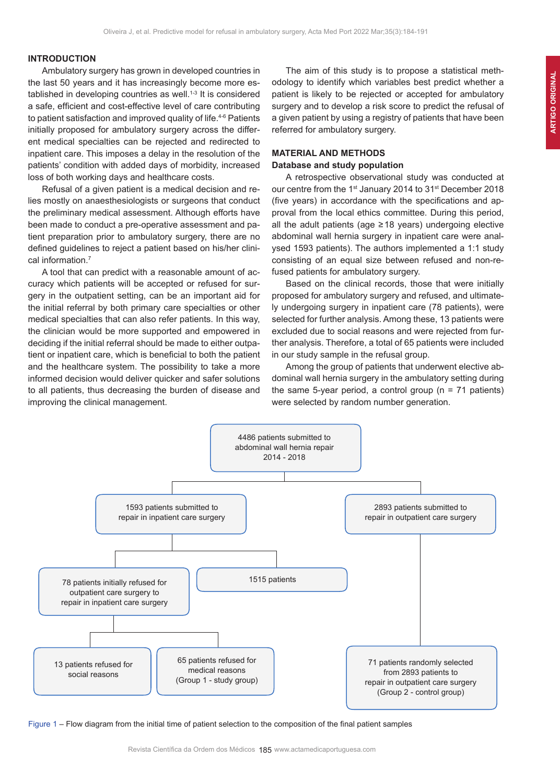#### **INTRODUCTION**

Ambulatory surgery has grown in developed countries in the last 50 years and it has increasingly become more established in developing countries as well. $1-3$  It is considered a safe, efficient and cost-effective level of care contributing to patient satisfaction and improved quality of life.<sup>4-6</sup> Patients initially proposed for ambulatory surgery across the different medical specialties can be rejected and redirected to inpatient care. This imposes a delay in the resolution of the patients' condition with added days of morbidity, increased loss of both working days and healthcare costs.

Refusal of a given patient is a medical decision and relies mostly on anaesthesiologists or surgeons that conduct the preliminary medical assessment. Although efforts have been made to conduct a pre-operative assessment and patient preparation prior to ambulatory surgery, there are no defined guidelines to reject a patient based on his/her clinical information.<sup>7</sup>

A tool that can predict with a reasonable amount of accuracy which patients will be accepted or refused for surgery in the outpatient setting, can be an important aid for the initial referral by both primary care specialties or other medical specialties that can also refer patients. In this way, the clinician would be more supported and empowered in deciding if the initial referral should be made to either outpatient or inpatient care, which is beneficial to both the patient and the healthcare system. The possibility to take a more informed decision would deliver quicker and safer solutions to all patients, thus decreasing the burden of disease and improving the clinical management.

The aim of this study is to propose a statistical methodology to identify which variables best predict whether a patient is likely to be rejected or accepted for ambulatory surgery and to develop a risk score to predict the refusal of a given patient by using a registry of patients that have been referred for ambulatory surgery.

# **MATERIAL AND METHODS Database and study population**

A retrospective observational study was conducted at our centre from the 1<sup>st</sup> January 2014 to 31<sup>st</sup> December 2018 (five years) in accordance with the specifications and approval from the local ethics committee. During this period, all the adult patients (age ≥18 years) undergoing elective abdominal wall hernia surgery in inpatient care were analysed 1593 patients). The authors implemented a 1:1 study consisting of an equal size between refused and non-refused patients for ambulatory surgery.

Based on the clinical records, those that were initially proposed for ambulatory surgery and refused, and ultimately undergoing surgery in inpatient care (78 patients), were selected for further analysis. Among these, 13 patients were excluded due to social reasons and were rejected from further analysis. Therefore, a total of 65 patients were included in our study sample in the refusal group.

Among the group of patients that underwent elective abdominal wall hernia surgery in the ambulatory setting during the same 5-year period, a control group ( $n = 71$  patients) were selected by random number generation.



Figure 1 – Flow diagram from the initial time of patient selection to the composition of the final patient samples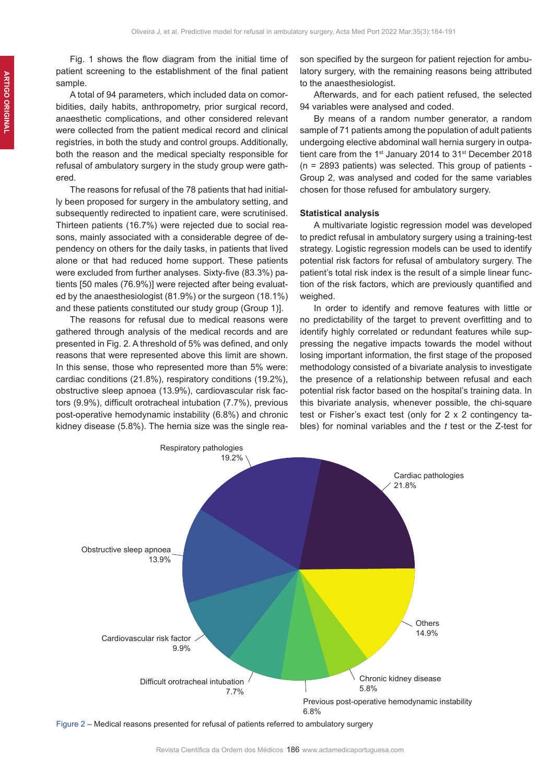Fig. 1 shows the flow diagram from the initial time of patient screening to the establishment of the final patient sample.

A total of 94 parameters, which included data on comorbidities, daily habits, anthropometry, prior surgical record, anaesthetic complications, and other considered relevant were collected from the patient medical record and clinical registries, in both the study and control groups. Additionally, both the reason and the medical specialty responsible for refusal of ambulatory surgery in the study group were gathered.

The reasons for refusal of the 78 patients that had initially been proposed for surgery in the ambulatory setting, and subsequently redirected to inpatient care, were scrutinised. Thirteen patients (16.7%) were rejected due to social reasons, mainly associated with a considerable degree of dependency on others for the daily tasks, in patients that lived alone or that had reduced home support. These patients were excluded from further analyses. Sixty-five (83.3%) patients [50 males (76.9%)] were rejected after being evaluated by the anaesthesiologist (81.9%) or the surgeon (18.1%) and these patients constituted our study group (Group 1)].

The reasons for refusal due to medical reasons were gathered through analysis of the medical records and are presented in Fig. 2. A threshold of 5% was defined, and only reasons that were represented above this limit are shown. In this sense, those who represented more than 5% were: cardiac conditions (21.8%), respiratory conditions (19.2%), obstructive sleep apnoea (13.9%), cardiovascular risk factors (9.9%), difficult orotracheal intubation (7.7%), previous post-operative hemodynamic instability (6.8%) and chronic kidney disease (5.8%). The hernia size was the single rea-

son specified by the surgeon for patient rejection for ambulatory surgery, with the remaining reasons being attributed to the anaesthesiologist.

Afterwards, and for each patient refused, the selected 94 variables were analysed and coded.

By means of a random number generator, a random sample of 71 patients among the population of adult patients undergoing elective abdominal wall hernia surgery in outpatient care from the 1<sup>st</sup> January 2014 to 31<sup>st</sup> December 2018 (n = 2893 patients) was selected. This group of patients - Group 2, was analysed and coded for the same variables chosen for those refused for ambulatory surgery.

#### **Statistical analysis**

A multivariate logistic regression model was developed to predict refusal in ambulatory surgery using a training-test strategy. Logistic regression models can be used to identify potential risk factors for refusal of ambulatory surgery. The patient's total risk index is the result of a simple linear function of the risk factors, which are previously quantified and weighed.

In order to identify and remove features with little or no predictability of the target to prevent overfitting and to identify highly correlated or redundant features while suppressing the negative impacts towards the model without losing important information, the first stage of the proposed methodology consisted of a bivariate analysis to investigate the presence of a relationship between refusal and each potential risk factor based on the hospital's training data. In this bivariate analysis, whenever possible, the chi-square test or Fisher's exact test (only for 2 x 2 contingency tables) for nominal variables and the *t* test or the Z-test for



Figure 2 – Medical reasons presented for refusal of patients referred to ambulatory surgery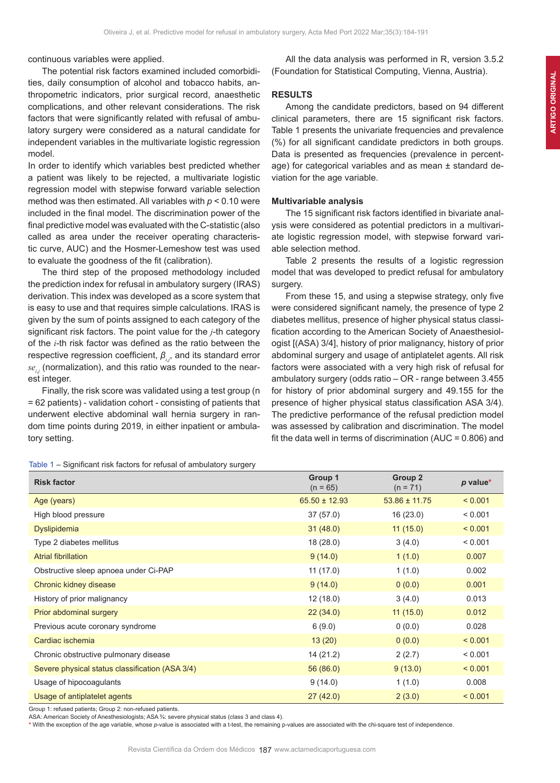continuous variables were applied.

The potential risk factors examined included comorbidities, daily consumption of alcohol and tobacco habits, anthropometric indicators, prior surgical record, anaesthetic complications, and other relevant considerations. The risk factors that were significantly related with refusal of ambulatory surgery were considered as a natural candidate for independent variables in the multivariate logistic regression model.

In order to identify which variables best predicted whether a patient was likely to be rejected, a multivariate logistic regression model with stepwise forward variable selection method was then estimated. All variables with *p* < 0.10 were included in the final model. The discrimination power of the final predictive model was evaluated with the C-statistic (also called as area under the receiver operating characteristic curve, AUC) and the Hosmer-Lemeshow test was used to evaluate the goodness of the fit (calibration).

The third step of the proposed methodology included the prediction index for refusal in ambulatory surgery (IRAS) derivation. This index was developed as a score system that is easy to use and that requires simple calculations. IRAS is given by the sum of points assigned to each category of the significant risk factors. The point value for the *j*-th category of the *i*-th risk factor was defined as the ratio between the respective regression coefficient, *β<sup>i</sup>*,*<sup>j</sup>* , and its standard error  $se_{_{ij}}$  (normalization), and this ratio was rounded to the nearest integer.

Finally, the risk score was validated using a test group (n = 62 patients) - validation cohort - consisting of patients that underwent elective abdominal wall hernia surgery in random time points during 2019, in either inpatient or ambulatory setting.

All the data analysis was performed in R, version 3.5.2 (Foundation for Statistical Computing, Vienna, Austria).

# **RESULTS**

Among the candidate predictors, based on 94 different clinical parameters, there are 15 significant risk factors. Table 1 presents the univariate frequencies and prevalence (%) for all significant candidate predictors in both groups. Data is presented as frequencies (prevalence in percentage) for categorical variables and as mean ± standard deviation for the age variable.

## **Multivariable analysis**

The 15 significant risk factors identified in bivariate analysis were considered as potential predictors in a multivariate logistic regression model, with stepwise forward variable selection method.

Table 2 presents the results of a logistic regression model that was developed to predict refusal for ambulatory surgery.

From these 15, and using a stepwise strategy, only five were considered significant namely, the presence of type 2 diabetes mellitus, presence of higher physical status classification according to the American Society of Anaesthesiologist [(ASA) 3/4], history of prior malignancy, history of prior abdominal surgery and usage of antiplatelet agents. All risk factors were associated with a very high risk of refusal for ambulatory surgery (odds ratio – OR - range between 3.455 for history of prior abdominal surgery and 49.155 for the presence of higher physical status classification ASA 3/4). The predictive performance of the refusal prediction model was assessed by calibration and discrimination. The model fit the data well in terms of discrimination (AUC = 0.806) and

|  |  | Table 1 - Significant risk factors for refusal of ambulatory surgery |  |
|--|--|----------------------------------------------------------------------|--|
|  |  |                                                                      |  |

| <b>Risk factor</b>                              | Group 1<br>$(n = 65)$ | Group 2<br>$(n = 71)$ | p value* |
|-------------------------------------------------|-----------------------|-----------------------|----------|
| Age (years)                                     | $65.50 \pm 12.93$     | $53.86 \pm 11.75$     | < 0.001  |
| High blood pressure                             | 37(57.0)              | 16(23.0)              | < 0.001  |
| Dyslipidemia                                    | 31(48.0)              | 11(15.0)              | < 0.001  |
| Type 2 diabetes mellitus                        | 18 (28.0)             | 3(4.0)                | < 0.001  |
| <b>Atrial fibrillation</b>                      | 9(14.0)               | 1(1.0)                | 0.007    |
| Obstructive sleep apnoea under Ci-PAP           | 11(17.0)              | 1(1.0)                | 0.002    |
| Chronic kidney disease                          | 9(14.0)               | 0(0.0)                | 0.001    |
| History of prior malignancy                     | 12(18.0)              | 3(4.0)                | 0.013    |
| Prior abdominal surgery                         | 22(34.0)              | 11(15.0)              | 0.012    |
| Previous acute coronary syndrome                | 6(9.0)                | 0(0.0)                | 0.028    |
| Cardiac ischemia                                | 13(20)                | 0(0.0)                | < 0.001  |
| Chronic obstructive pulmonary disease           | 14 (21.2)             | 2(2.7)                | < 0.001  |
| Severe physical status classification (ASA 3/4) | 56(86.0)              | 9(13.0)               | < 0.001  |
| Usage of hipocoagulants                         | 9(14.0)               | 1(1.0)                | 0.008    |
| Usage of antiplatelet agents                    | 27(42.0)              | 2(3.0)                | < 0.001  |

Group 1: refused patients; Group 2: non-refused patients.

ASA: American Society of Anesthesiologists; ASA 3/4: severe physical status (class 3 and class 4).

**\*** With the exception of the age variable, whose *p*-value is associated with a t-test, the remaining p-values are associated with the chi-square test of independence.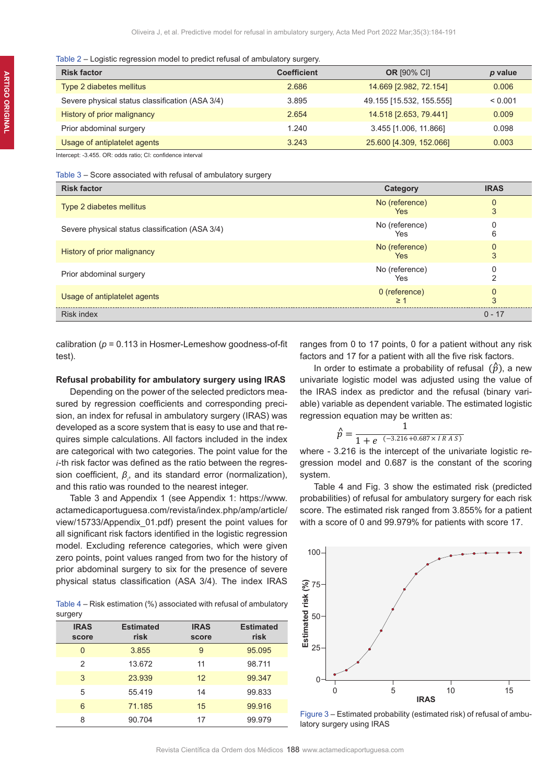#### Table 2 – Logistic regression model to predict refusal of ambulatory surgery.

| <b>Risk factor</b>                              | <b>Coefficient</b> | <b>OR [90% CI]</b>       | p value |
|-------------------------------------------------|--------------------|--------------------------|---------|
| Type 2 diabetes mellitus                        | 2.686              | 14.669 [2.982, 72.154]   | 0.006   |
| Severe physical status classification (ASA 3/4) | 3.895              | 49.155 [15.532, 155.555] | < 0.001 |
| History of prior malignancy                     | 2.654              | 14.518 [2.653, 79.441]   | 0.009   |
| Prior abdominal surgery                         | 1.240              | 3.455 [1.006, 11.866]    | 0.098   |
| Usage of antiplatelet agents                    | 3.243              | 25.600 [4.309, 152.066]  | 0.003   |

Intercept: -3.455. OR: odds ratio; CI: confidence interval

#### Table 3 – Score associated with refusal of ambulatory surgery

| <b>Risk factor</b>                              | Category                     | <b>IRAS</b>   |
|-------------------------------------------------|------------------------------|---------------|
| Type 2 diabetes mellitus                        | No (reference)<br><b>Yes</b> | $\Omega$<br>3 |
| Severe physical status classification (ASA 3/4) | No (reference)<br>Yes        | 6             |
| History of prior malignancy                     | No (reference)<br><b>Yes</b> | $\Omega$<br>3 |
| Prior abdominal surgery                         | No (reference)<br>Yes        |               |
| Usage of antiplatelet agents                    | 0 (reference)<br>>1          | $\Omega$<br>3 |
| <b>Risk index</b>                               |                              | $0 - 17$      |

calibration (*p* = 0.113 in Hosmer-Lemeshow goodness-of-fit test).

#### **Refusal probability for ambulatory surgery using IRAS**

Depending on the power of the selected predictors measured by regression coefficients and corresponding precision, an index for refusal in ambulatory surgery (IRAS) was developed as a score system that is easy to use and that requires simple calculations. All factors included in the index are categorical with two categories. The point value for the *i*-th risk factor was defined as the ratio between the regression coefficient,  $β<sub>i</sub>$ , and its standard error (normalization), and this ratio was rounded to the nearest integer.

Table 3 and Appendix 1 (see Appendix 1: https://www. actamedicaportuguesa.com/revista/index.php/amp/article/ view/15733/Appendix\_01.pdf) present the point values for all significant risk factors identified in the logistic regression model. Excluding reference categories, which were given zero points, point values ranged from two for the history of prior abdominal surgery to six for the presence of severe physical status classification (ASA 3/4). The index IRAS

Table 4 – Risk estimation (%) associated with refusal of ambulatory surgery

| <b>IRAS</b><br>score | <b>Estimated</b><br>risk | <b>IRAS</b><br>score | <b>Estimated</b><br>risk |
|----------------------|--------------------------|----------------------|--------------------------|
| 0                    | 3.855                    | 9                    | 95.095                   |
| $\mathcal{P}$        | 13.672                   | 11                   | 98.711                   |
| 3                    | 23.939                   | 12                   | 99.347                   |
| 5                    | 55.419                   | 14                   | 99.833                   |
| 6                    | 71.185                   | 15                   | 99.916                   |
| 8                    | 90.704                   | 17                   | 99.979                   |

ranges from 0 to 17 points, 0 for a patient without any risk factors and 17 for a patient with all the five risk factors.

In order to estimate a probability of refusal  $(\hat{p})$ , a new univariate logistic model was adjusted using the value of the IRAS index as predictor and the refusal (binary variable) variable as dependent variable. The estimated logistic regression equation may be written as:

$$
\hat{p} = \frac{1}{1 + e^{(-3.216 + 0.687 \times IRAS)}}
$$

where - 3.216 is the intercept of the univariate logistic regression model and 0.687 is the constant of the scoring system.

Table 4 and Fig. 3 show the estimated risk (predicted probabilities) of refusal for ambulatory surgery for each risk score. The estimated risk ranged from 3.855% for a patient with a score of 0 and 99.979% for patients with score 17.



Figure 3 – Estimated probability (estimated risk) of refusal of ambu-<br>latory surgery using IRAS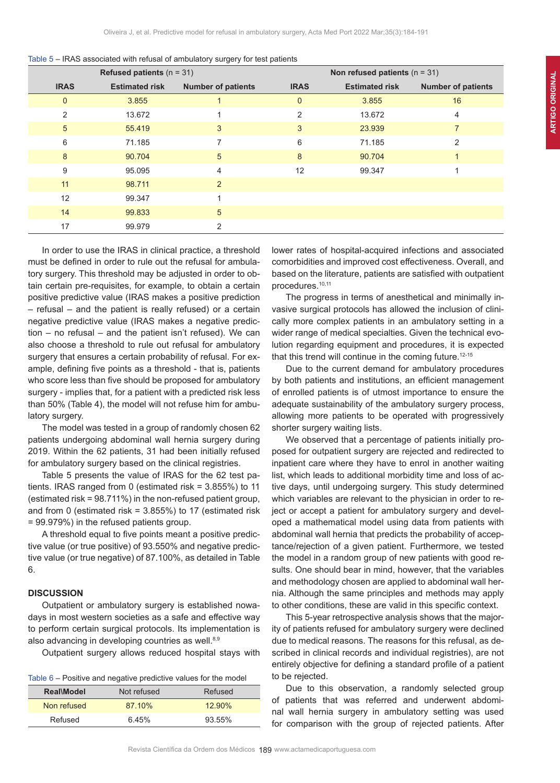|                 | Refused patients $(n = 31)$ |                           |              | Non refused patients $(n = 31)$ |                           |  |  |
|-----------------|-----------------------------|---------------------------|--------------|---------------------------------|---------------------------|--|--|
| <b>IRAS</b>     | <b>Estimated risk</b>       | <b>Number of patients</b> | <b>IRAS</b>  | <b>Estimated risk</b>           | <b>Number of patients</b> |  |  |
| $\mathbf{0}$    | 3.855                       |                           | $\mathbf{0}$ | 3.855                           | 16                        |  |  |
| 2               | 13.672                      |                           | 2            | 13.672                          | 4                         |  |  |
| $5\overline{)}$ | 55.419                      | 3                         | 3            | 23.939                          |                           |  |  |
| 6               | 71.185                      |                           | 6            | 71.185                          | $\overline{2}$            |  |  |
| 8               | 90.704                      | 5                         | 8            | 90.704                          |                           |  |  |
| 9               | 95.095                      | 4                         | 12           | 99.347                          |                           |  |  |
| 11              | 98.711                      | $\overline{2}$            |              |                                 |                           |  |  |
| 12              | 99.347                      |                           |              |                                 |                           |  |  |
| 14              | 99.833                      | 5                         |              |                                 |                           |  |  |
| 17              | 99.979                      | 2                         |              |                                 |                           |  |  |

| Table 5 – IRAS associated with refusal of ambulatory surgery for test patients |  |  |  |
|--------------------------------------------------------------------------------|--|--|--|
|--------------------------------------------------------------------------------|--|--|--|

In order to use the IRAS in clinical practice, a threshold must be defined in order to rule out the refusal for ambulatory surgery. This threshold may be adjusted in order to obtain certain pre-requisites, for example, to obtain a certain positive predictive value (IRAS makes a positive prediction – refusal – and the patient is really refused) or a certain negative predictive value (IRAS makes a negative prediction – no refusal – and the patient isn't refused). We can also choose a threshold to rule out refusal for ambulatory surgery that ensures a certain probability of refusal. For example, defining five points as a threshold - that is, patients who score less than five should be proposed for ambulatory surgery - implies that, for a patient with a predicted risk less than 50% (Table 4), the model will not refuse him for ambulatory surgery.

The model was tested in a group of randomly chosen 62 patients undergoing abdominal wall hernia surgery during 2019. Within the 62 patients, 31 had been initially refused for ambulatory surgery based on the clinical registries.

Table 5 presents the value of IRAS for the 62 test patients. IRAS ranged from 0 (estimated risk = 3.855%) to 11 (estimated risk = 98.711%) in the non-refused patient group, and from 0 (estimated risk =  $3.855%$ ) to 17 (estimated risk = 99.979%) in the refused patients group.

A threshold equal to five points meant a positive predictive value (or true positive) of 93.550% and negative predictive value (or true negative) of 87.100%, as detailed in Table 6.

# **DISCUSSION**

Outpatient or ambulatory surgery is established nowadays in most western societies as a safe and effective way to perform certain surgical protocols. Its implementation is also advancing in developing countries as well.<sup>8,9</sup>

Outpatient surgery allows reduced hospital stays with

|  |  | Table $6$ – Positive and negative predictive values for the model |  |  |
|--|--|-------------------------------------------------------------------|--|--|
|  |  |                                                                   |  |  |

| <b>Real\Model</b> | Not refused | Refused   |
|-------------------|-------------|-----------|
| Non refused       | 87.10%      | $12.90\%$ |
| Refused           | 645%        | 93.55%    |

lower rates of hospital-acquired infections and associated comorbidities and improved cost effectiveness. Overall, and based on the literature, patients are satisfied with outpatient procedures.10,11

The progress in terms of anesthetical and minimally invasive surgical protocols has allowed the inclusion of clinically more complex patients in an ambulatory setting in a wider range of medical specialties. Given the technical evolution regarding equipment and procedures, it is expected that this trend will continue in the coming future.<sup>12-15</sup>

Due to the current demand for ambulatory procedures by both patients and institutions, an efficient management of enrolled patients is of utmost importance to ensure the adequate sustainability of the ambulatory surgery process, allowing more patients to be operated with progressively shorter surgery waiting lists.

We observed that a percentage of patients initially proposed for outpatient surgery are rejected and redirected to inpatient care where they have to enrol in another waiting list, which leads to additional morbidity time and loss of active days, until undergoing surgery. This study determined which variables are relevant to the physician in order to reject or accept a patient for ambulatory surgery and developed a mathematical model using data from patients with abdominal wall hernia that predicts the probability of acceptance/rejection of a given patient. Furthermore, we tested the model in a random group of new patients with good results. One should bear in mind, however, that the variables and methodology chosen are applied to abdominal wall hernia. Although the same principles and methods may apply to other conditions, these are valid in this specific context.

This 5-year retrospective analysis shows that the majority of patients refused for ambulatory surgery were declined due to medical reasons. The reasons for this refusal, as described in clinical records and individual registries), are not entirely objective for defining a standard profile of a patient to be rejected.

Due to this observation, a randomly selected group of patients that was referred and underwent abdominal wall hernia surgery in ambulatory setting was used for comparison with the group of rejected patients. After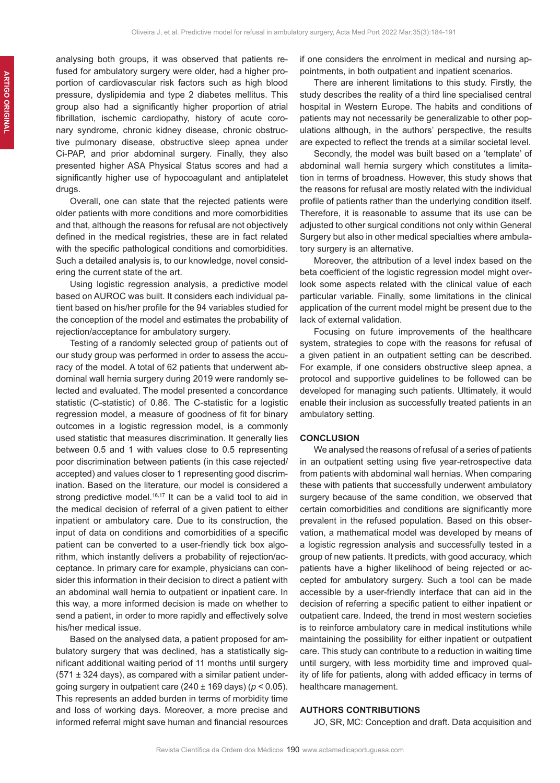analysing both groups, it was observed that patients refused for ambulatory surgery were older, had a higher proportion of cardiovascular risk factors such as high blood pressure, dyslipidemia and type 2 diabetes mellitus. This group also had a significantly higher proportion of atrial fibrillation, ischemic cardiopathy, history of acute coronary syndrome, chronic kidney disease, chronic obstructive pulmonary disease, obstructive sleep apnea under Ci-PAP, and prior abdominal surgery. Finally, they also presented higher ASA Physical Status scores and had a significantly higher use of hypocoagulant and antiplatelet drugs.

Overall, one can state that the rejected patients were older patients with more conditions and more comorbidities and that, although the reasons for refusal are not objectively defined in the medical registries, these are in fact related with the specific pathological conditions and comorbidities. Such a detailed analysis is, to our knowledge, novel considering the current state of the art.

Using logistic regression analysis, a predictive model based on AUROC was built. It considers each individual patient based on his/her profile for the 94 variables studied for the conception of the model and estimates the probability of rejection/acceptance for ambulatory surgery.

Testing of a randomly selected group of patients out of our study group was performed in order to assess the accuracy of the model. A total of 62 patients that underwent abdominal wall hernia surgery during 2019 were randomly selected and evaluated. The model presented a concordance statistic (C-statistic) of 0.86. The C-statistic for a logistic regression model, a measure of goodness of fit for binary outcomes in a logistic regression model, is a commonly used statistic that measures discrimination. It generally lies between 0.5 and 1 with values close to 0.5 representing poor discrimination between patients (in this case rejected/ accepted) and values closer to 1 representing good discrimination. Based on the literature, our model is considered a strong predictive model.<sup>16,17</sup> It can be a valid tool to aid in the medical decision of referral of a given patient to either inpatient or ambulatory care. Due to its construction, the input of data on conditions and comorbidities of a specific patient can be converted to a user-friendly tick box algorithm, which instantly delivers a probability of rejection/acceptance. In primary care for example, physicians can consider this information in their decision to direct a patient with an abdominal wall hernia to outpatient or inpatient care. In this way, a more informed decision is made on whether to send a patient, in order to more rapidly and effectively solve his/her medical issue.

Based on the analysed data, a patient proposed for ambulatory surgery that was declined, has a statistically significant additional waiting period of 11 months until surgery  $(571 \pm 324 \text{ days})$ , as compared with a similar patient undergoing surgery in outpatient care (240 ± 169 days) (*p* < 0.05). This represents an added burden in terms of morbidity time and loss of working days. Moreover, a more precise and informed referral might save human and financial resources if one considers the enrolment in medical and nursing appointments, in both outpatient and inpatient scenarios.

There are inherent limitations to this study. Firstly, the study describes the reality of a third line specialised central hospital in Western Europe. The habits and conditions of patients may not necessarily be generalizable to other populations although, in the authors' perspective, the results are expected to reflect the trends at a similar societal level.

Secondly, the model was built based on a 'template' of abdominal wall hernia surgery which constitutes a limitation in terms of broadness. However, this study shows that the reasons for refusal are mostly related with the individual profile of patients rather than the underlying condition itself. Therefore, it is reasonable to assume that its use can be adjusted to other surgical conditions not only within General Surgery but also in other medical specialties where ambulatory surgery is an alternative.

Moreover, the attribution of a level index based on the beta coefficient of the logistic regression model might overlook some aspects related with the clinical value of each particular variable. Finally, some limitations in the clinical application of the current model might be present due to the lack of external validation.

Focusing on future improvements of the healthcare system, strategies to cope with the reasons for refusal of a given patient in an outpatient setting can be described. For example, if one considers obstructive sleep apnea, a protocol and supportive guidelines to be followed can be developed for managing such patients. Ultimately, it would enable their inclusion as successfully treated patients in an ambulatory setting.

#### **CONCLUSION**

We analysed the reasons of refusal of a series of patients in an outpatient setting using five year-retrospective data from patients with abdominal wall hernias. When comparing these with patients that successfully underwent ambulatory surgery because of the same condition, we observed that certain comorbidities and conditions are significantly more prevalent in the refused population. Based on this observation, a mathematical model was developed by means of a logistic regression analysis and successfully tested in a group of new patients. It predicts, with good accuracy, which patients have a higher likelihood of being rejected or accepted for ambulatory surgery. Such a tool can be made accessible by a user-friendly interface that can aid in the decision of referring a specific patient to either inpatient or outpatient care. Indeed, the trend in most western societies is to reinforce ambulatory care in medical institutions while maintaining the possibility for either inpatient or outpatient care. This study can contribute to a reduction in waiting time until surgery, with less morbidity time and improved quality of life for patients, along with added efficacy in terms of healthcare management.

# **AUTHORS CONTRIBUTIONS**

JO, SR, MC: Conception and draft. Data acquisition and